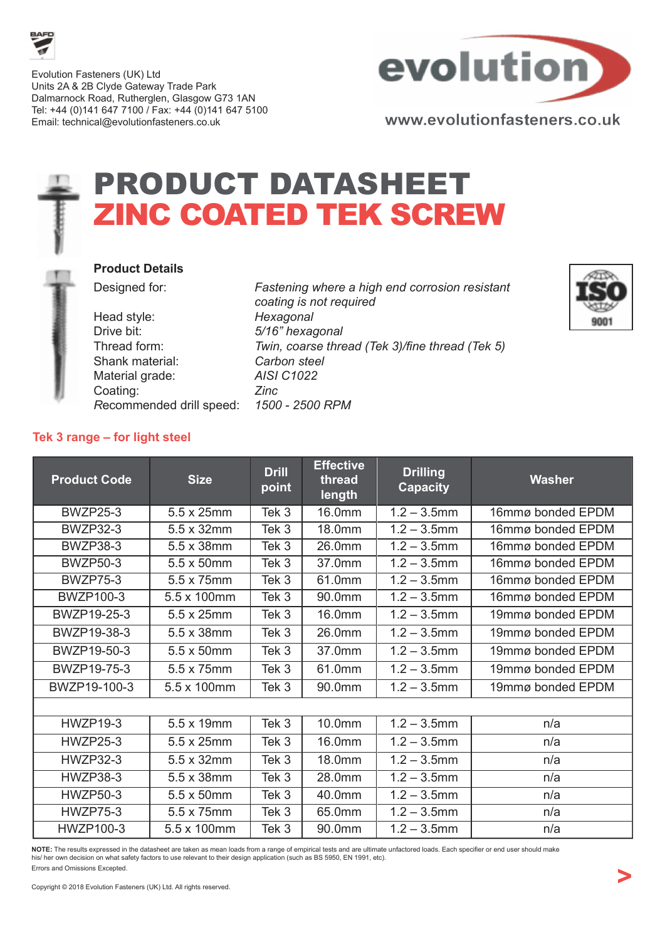

Evolution Fasteners (UK) Ltd Units 2A & 2B Clyde Gateway Trade Park Dalmarnock Road, Rutherglen, Glasgow G73 1AN Tel: +44 (0)141 647 7100 / Fax: +44 (0)141 647 5100 Email: technical@evolutionfasteners.co.uk



# PRODUCT DATASHEET ZINC COATED TEK SCREW



#### Product Details

Head style: Hexagonal Drive bit: 5/16" hexagonal Shank material: Carbon steel Material grade: AISI C1022 Coating: Zinc Recommended drill speed: 1500 - 2500 RPM

Designed for: Fastening where a high end corrosion resistant coating is not required Thread form: Twin, coarse thread (Tek 3)/fine thread (Tek 5)



### Tek 3 range – for light steel

| <b>Product Code</b> | <b>Size</b> | <b>Drill</b><br>point | <b>Effective</b><br>thread<br>length | <b>Drilling</b><br><b>Capacity</b> | Washer            |
|---------------------|-------------|-----------------------|--------------------------------------|------------------------------------|-------------------|
| <b>BWZP25-3</b>     | 5.5 x 25mm  | Tek 3                 | 16.0mm                               | $1.2 - 3.5$ mm                     | 16mmø bonded EPDM |
| <b>BWZP32-3</b>     | 5.5 x 32mm  | Tek 3                 | 18.0mm                               | $1.2 - 3.5$ mm                     | 16mmø bonded EPDM |
| <b>BWZP38-3</b>     | 5.5 x 38mm  | Tek 3                 | 26.0mm                               | $1.2 - 3.5$ mm                     | 16mmø bonded EPDM |
| <b>BWZP50-3</b>     | 5.5 x 50mm  | Tek 3                 | 37.0mm                               | $1.2 - 3.5$ mm                     | 16mmø bonded EPDM |
| <b>BWZP75-3</b>     | 5.5 x 75mm  | Tek 3                 | 61.0mm                               | $1.2 - 3.5$ mm                     | 16mmø bonded EPDM |
| <b>BWZP100-3</b>    | 5.5 x 100mm | Tek 3                 | 90.0mm                               | $1.2 - 3.5$ mm                     | 16mmø bonded EPDM |
| BWZP19-25-3         | 5.5 x 25mm  | Tek 3                 | 16.0mm                               | $1.2 - 3.5$ mm                     | 19mmø bonded EPDM |
| BWZP19-38-3         | 5.5 x 38mm  | Tek 3                 | 26.0mm                               | $1.2 - 3.5$ mm                     | 19mmø bonded EPDM |
| BWZP19-50-3         | 5.5 x 50mm  | Tek 3                 | 37.0mm                               | $1.2 - 3.5$ mm                     | 19mmø bonded EPDM |
| BWZP19-75-3         | 5.5 x 75mm  | Tek 3                 | 61.0mm                               | $1.2 - 3.5$ mm                     | 19mmø bonded EPDM |
| BWZP19-100-3        | 5.5 x 100mm | Tek 3                 | 90.0mm                               | $1.2 - 3.5$ mm                     | 19mmø bonded EPDM |
|                     |             |                       |                                      |                                    |                   |
| <b>HWZP19-3</b>     | 5.5 x 19mm  | Tek 3                 | 10.0mm                               | $1.2 - 3.5$ mm                     | n/a               |
| <b>HWZP25-3</b>     | 5.5 x 25mm  | Tek 3                 | 16.0mm                               | $1.2 - 3.5$ mm                     | n/a               |
| <b>HWZP32-3</b>     | 5.5 x 32mm  | Tek 3                 | 18.0mm                               | $1.2 - 3.5$ mm                     | n/a               |
| <b>HWZP38-3</b>     | 5.5 x 38mm  | Tek 3                 | 28.0mm                               | $1.2 - 3.5$ mm                     | n/a               |
| <b>HWZP50-3</b>     | 5.5 x 50mm  | Tek 3                 | 40.0mm                               | $1.2 - 3.5$ mm                     | n/a               |
| <b>HWZP75-3</b>     | 5.5 x 75mm  | Tek 3                 | 65.0mm                               | $1.2 - 3.5$ mm                     | n/a               |
| <b>HWZP100-3</b>    | 5.5 x 100mm | Tek 3                 | 90.0mm                               | $1.2 - 3.5$ mm                     | n/a               |

NOTE: The results expressed in the datasheet are taken as mean loads from a range of empirical tests and are ultimate unfactored loads. Each specifier or end user should make his/ her own decision on what safety factors to use relevant to their design application (such as BS 5950, EN 1991, etc). Errors and Omissions Excepted.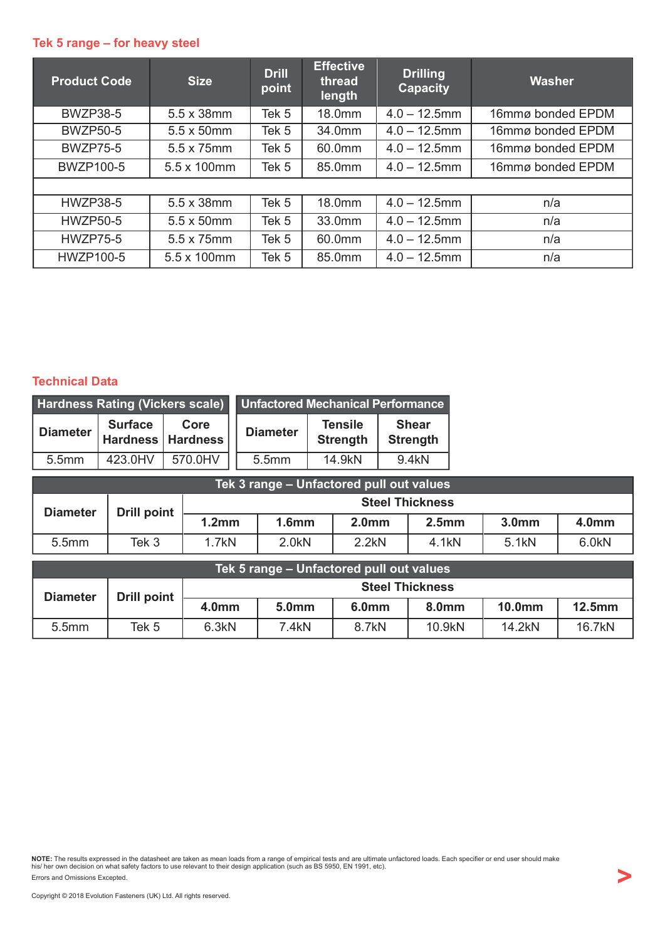### Tek 5 range – for heavy steel

| <b>Product Code</b> | <b>Size</b> | <b>Drill</b><br>point | <b>Effective</b><br>thread<br>length | <b>Drilling</b><br><b>Capacity</b> | Washer            |
|---------------------|-------------|-----------------------|--------------------------------------|------------------------------------|-------------------|
| <b>BWZP38-5</b>     | 5.5 x 38mm  | Tek 5                 | 18.0mm                               | $4.0 - 12.5$ mm                    | 16mmø bonded EPDM |
| <b>BWZP50-5</b>     | 5.5 x 50mm  | Tek 5                 | 34.0mm                               | $4.0 - 12.5$ mm                    | 16mmø bonded EPDM |
| <b>BWZP75-5</b>     | 5.5 x 75mm  | Tek 5                 | 60.0mm                               | $4.0 - 12.5$ mm                    | 16mmø bonded EPDM |
| <b>BWZP100-5</b>    | 5.5 x 100mm | Tek 5                 | 85.0mm                               | $4.0 - 12.5$ mm                    | 16mmø bonded EPDM |
|                     |             |                       |                                      |                                    |                   |
| <b>HWZP38-5</b>     | 5.5 x 38mm  | Tek <sub>5</sub>      | 18.0mm                               | $4.0 - 12.5$ mm                    | n/a               |
| <b>HWZP50-5</b>     | 5.5 x 50mm  | Tek 5                 | 33.0mm                               | $4.0 - 12.5$ mm                    | n/a               |
| <b>HWZP75-5</b>     | 5.5 x 75mm  | Tek 5                 | 60.0mm                               | $4.0 - 12.5$ mm                    | n/a               |
| HWZP100-5           | 5.5 x 100mm | Tek 5                 | 85.0mm                               | $4.0 - 12.5$ mm                    | n/a               |

### Technical Data

| <b>Hardness Rating (Vickers scale)</b> |                                                 |         | Unfactored Mechanical Performance |                                   |                                 |  |
|----------------------------------------|-------------------------------------------------|---------|-----------------------------------|-----------------------------------|---------------------------------|--|
| <b>Diameter</b>                        | <b>Surface</b><br>Core<br>Hardness   Hardness ' |         | <b>Diameter</b>                   | <b>Tensile</b><br><b>Strength</b> | <b>Shear</b><br><b>Strength</b> |  |
| 5.5mm                                  | 423.0HV                                         | 570.0HV | 5.5mm                             | 14.9kN                            | 9.4kN                           |  |

| Tek 3 range – Unfactored pull out values |             |                        |                   |                   |                   |                   |                   |  |
|------------------------------------------|-------------|------------------------|-------------------|-------------------|-------------------|-------------------|-------------------|--|
| <b>Diameter</b>                          | Drill point | <b>Steel Thickness</b> |                   |                   |                   |                   |                   |  |
|                                          |             | 1.2 <sub>mm</sub>      | 1.6 <sub>mm</sub> | 2.0 <sub>mm</sub> | 2.5 <sub>mm</sub> | 3.0 <sub>mm</sub> | 4.0 <sub>mm</sub> |  |
| 5.5 <sub>mm</sub>                        | Tek 3       | 1.7kN                  | 2.0kN             | 2.2kN             | 4.1 <sub>kN</sub> | 5.1 <sub>kN</sub> | 6.0 <sub>kN</sub> |  |

| Tek 5 range – Unfactored pull out values |             |                        |                   |                   |        |               |           |  |
|------------------------------------------|-------------|------------------------|-------------------|-------------------|--------|---------------|-----------|--|
| <b>Diameter</b>                          | Drill point | <b>Steel Thickness</b> |                   |                   |        |               |           |  |
|                                          |             | 4.0mm                  | 5.0 <sub>mm</sub> | 6.0 <sub>mm</sub> | 8.0mm  | <b>10.0mm</b> | $12.5$ mm |  |
| 5.5 <sub>mm</sub>                        | Tek 5       | 6.3kN                  | 7.4kN             | 8.7kN             | 10.9kN | 14.2kN        | 16.7kN    |  |

**NOTE:** The results expressed in the datasheet are taken as mean loads from a range of empirical tests and are ultimate unfactored loads. Each specifier or end user should make<br>his/ her own decision on what safety factors Errors and Omissions Excepted.